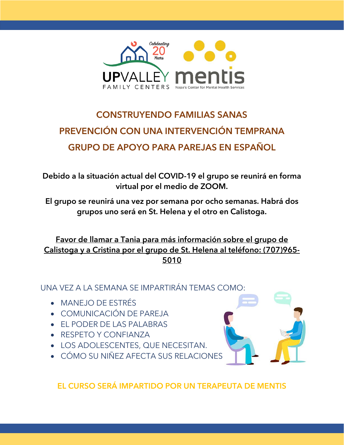

## CONSTRUYENDO FAMILIAS SANAS PREVENCIÓN CON UNA INTERVENCIÓN TEMPRANA GRUPO DE APOYO PARA PAREJAS EN ESPAÑOL

Debido a la situación actual del COVID-19 el grupo se reunirá en forma virtual por el medio de ZOOM.

El grupo se reunirá una vez por semana por ocho semanas. Habrá dos grupos uno será en St. Helena y el otro en Calistoga.

Favor de llamar a Tania para más información sobre el grupo de Calistoga y a Cristina por el grupo de St. Helena al teléfono: (707)965- 5010

UNA VEZ A LA SEMANA SE IMPARTIRÁN TEMAS COMO:

- MANEJO DE ESTRÉS
- COMUNICACIÓN DE PAREJA
- EL PODER DE LAS PALABRAS
- RESPETO Y CONFIANZA
- LOS ADOLESCENTES, QUE NECESITAN.
- CÓMO SU NIÑEZ AFECTA SUS RELACIONES



EL CURSO SERÁ IMPARTIDO POR UN TERAPEUTA DE MENTIS